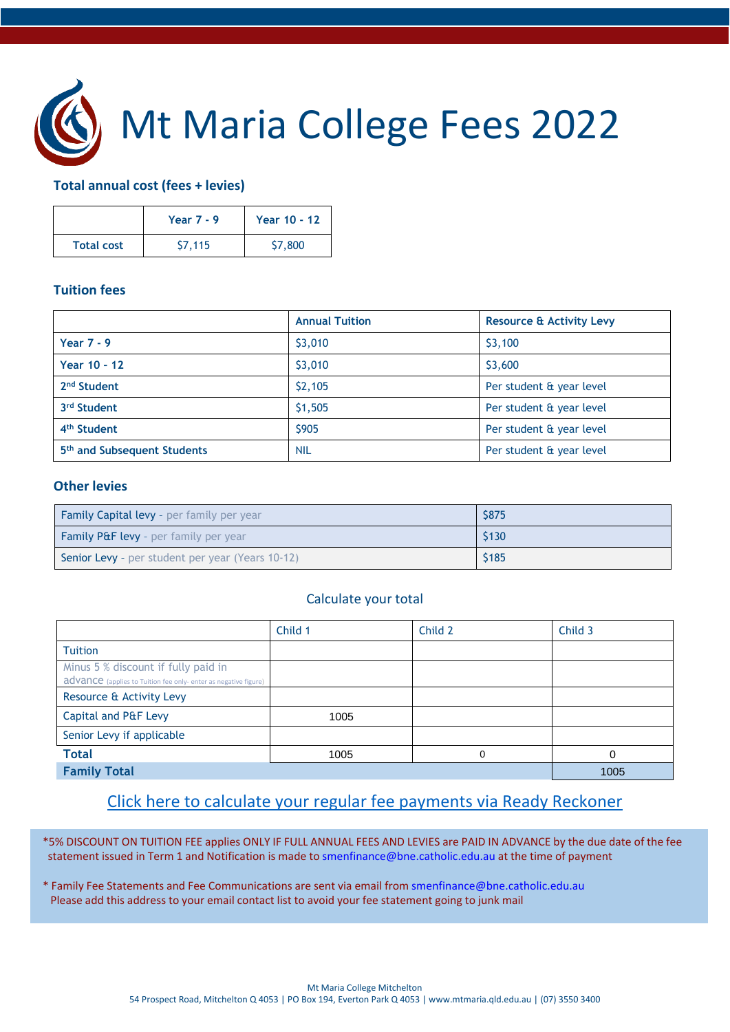

# Mt Maria College Fees 2022

#### **Total annual cost (fees + levies)**

|                   | Year $7 - 9$ | Year 10 - 12 |
|-------------------|--------------|--------------|
| <b>Total cost</b> | \$7,115      | \$7,800      |

#### **Tuition fees**

|                                         | <b>Annual Tuition</b> | <b>Resource &amp; Activity Levy</b> |
|-----------------------------------------|-----------------------|-------------------------------------|
| Year $7 - 9$                            | \$3,010               | \$3,100                             |
| Year 10 - 12                            | \$3,010               | \$3,600                             |
| 2 <sup>nd</sup> Student                 | \$2,105               | Per student & year level            |
| 3rd Student                             | \$1,505               | Per student & year level            |
| 4 <sup>th</sup> Student                 | <b>\$905</b>          | Per student & year level            |
| 5 <sup>th</sup> and Subsequent Students | <b>NIL</b>            | Per student & year level            |

#### **Other levies**

| <b>Family Capital levy</b> - per family per year        | \$875 |
|---------------------------------------------------------|-------|
| <b>Family P&amp;F levy</b> - per family per year        | \$130 |
| <b>Senior Levy</b> - per student per year (Years 10-12) | \$185 |

#### Calculate your total

|                                                                                                        | Child 1 | Child 2 | Child 3 |
|--------------------------------------------------------------------------------------------------------|---------|---------|---------|
| <b>Tuition</b>                                                                                         |         |         |         |
| Minus 5 % discount if fully paid in<br>advance (applies to Tuition fee only- enter as negative figure) |         |         |         |
| Resource & Activity Levy                                                                               |         |         |         |
| Capital and P&F Levy                                                                                   | 1005    |         |         |
| Senior Levy if applicable                                                                              |         |         |         |
| <b>Total</b>                                                                                           | 1005    | 0       |         |
| <b>Family Total</b>                                                                                    |         |         | 1005    |

## [Click here to calculate your regular fee payments via Ready Reckoner](https://adf.brisbanecatholic.org.au/ready-reckoner/)

\*5% DISCOUNT ON TUITION FEE applies ONLY IF FULL ANNUAL FEES AND LEVIES are PAID IN ADVANCE by the due date of the fee statement issued in Term 1 and Notification is made to [smenfinance@bne.catholic.edu.au](mailto:smenfinance@bne.catholic.edu.au) at the time of payment

\* Family Fee Statements and Fee Communications are sent via email from [smenfinance@bne.catholic.edu.au](mailto:smenfinance@bne.catholic.edu.au) Please add this address to your email contact list to avoid your fee statement going to junk mail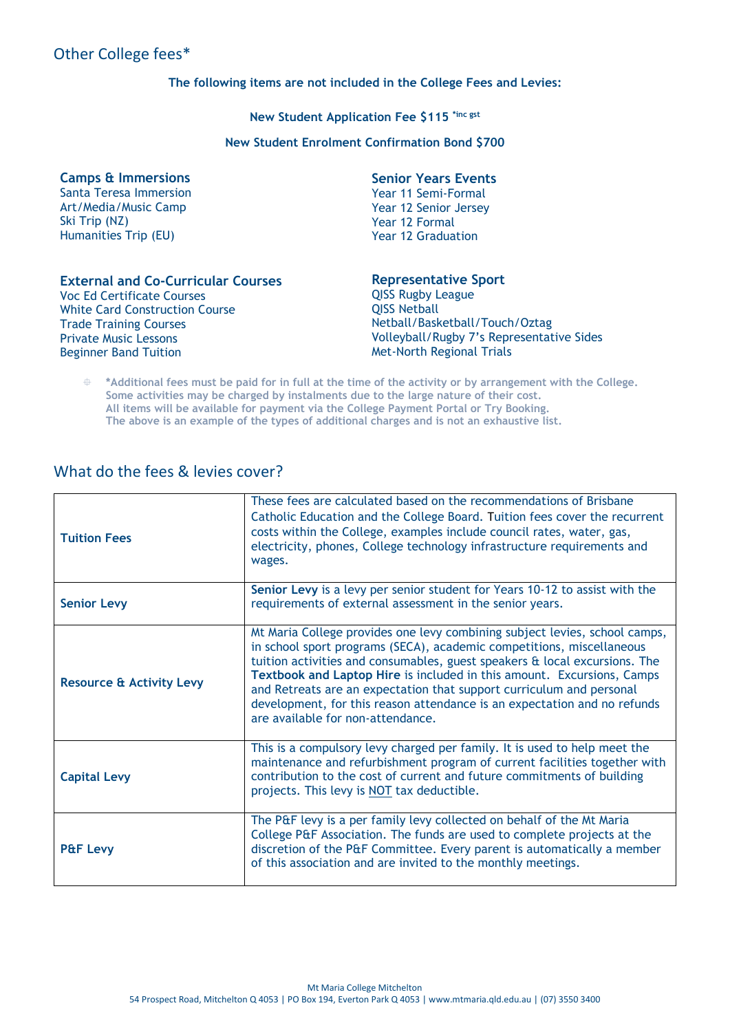## Other College fees\*

#### **The following items are not included in the College Fees and Levies:**

**New Student Application Fee \$115 \*inc gst**

**New Student Enrolment Confirmation Bond \$700** 

**Camps & Immersions** Santa Teresa Immersion Art/Media/Music Camp

Ski Trip (NZ) Humanities Trip (EU)

#### **Senior Years Events**

Year 11 Semi-Formal Year 12 Senior Jersey Year 12 Formal Year 12 Graduation

| <b>External and Co-Curricular Courses</b> |  |  |  |
|-------------------------------------------|--|--|--|
| Voc Ed Certificate Courses                |  |  |  |
| <b>White Card Construction Course</b>     |  |  |  |
| <b>Trade Training Courses</b>             |  |  |  |
| <b>Private Music Lessons</b>              |  |  |  |
| <b>Beginner Band Tuition</b>              |  |  |  |
|                                           |  |  |  |

#### **Representative Sport**

QISS Rugby League QISS Netball Netball/Basketball/Touch/Oztag Volleyball/Rugby 7's Representative Sides Met-North Regional Trials

 **\*Additional fees must be paid for in full at the time of the activity or by arrangement with the College. Some activities may be charged by instalments due to the large nature of their cost. All items will be available for payment via the College Payment Portal or Try Booking. The above is an example of the types of additional charges and is not an exhaustive list.**

### What do the fees & levies cover?

| <b>Tuition Fees</b>                 | These fees are calculated based on the recommendations of Brisbane<br>Catholic Education and the College Board. Tuition fees cover the recurrent<br>costs within the College, examples include council rates, water, gas,<br>electricity, phones, College technology infrastructure requirements and<br>wages.                                                                                                                                                                                       |
|-------------------------------------|------------------------------------------------------------------------------------------------------------------------------------------------------------------------------------------------------------------------------------------------------------------------------------------------------------------------------------------------------------------------------------------------------------------------------------------------------------------------------------------------------|
| <b>Senior Levy</b>                  | Senior Levy is a levy per senior student for Years 10-12 to assist with the<br>requirements of external assessment in the senior years.                                                                                                                                                                                                                                                                                                                                                              |
| <b>Resource &amp; Activity Levy</b> | Mt Maria College provides one levy combining subject levies, school camps,<br>in school sport programs (SECA), academic competitions, miscellaneous<br>tuition activities and consumables, guest speakers & local excursions. The<br>Textbook and Laptop Hire is included in this amount. Excursions, Camps<br>and Retreats are an expectation that support curriculum and personal<br>development, for this reason attendance is an expectation and no refunds<br>are available for non-attendance. |
| <b>Capital Levy</b>                 | This is a compulsory levy charged per family. It is used to help meet the<br>maintenance and refurbishment program of current facilities together with<br>contribution to the cost of current and future commitments of building<br>projects. This levy is NOT tax deductible.                                                                                                                                                                                                                       |
| <b>P&amp;F Levy</b>                 | The P&F levy is a per family levy collected on behalf of the Mt Maria<br>College P&F Association. The funds are used to complete projects at the<br>discretion of the P&F Committee. Every parent is automatically a member<br>of this association and are invited to the monthly meetings.                                                                                                                                                                                                          |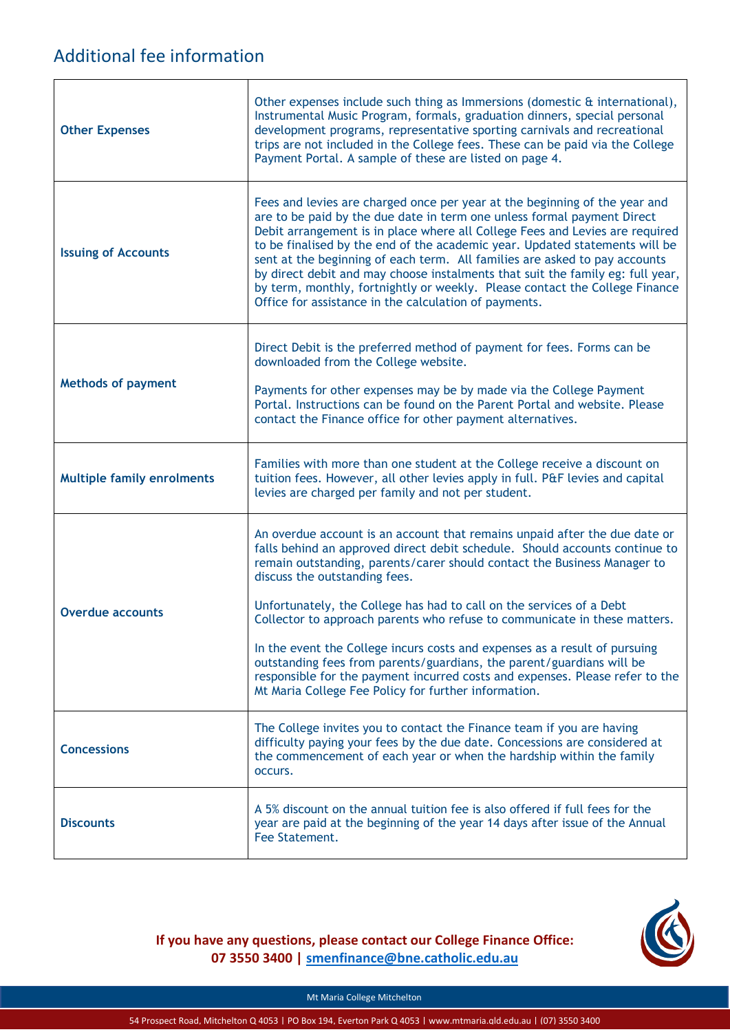## Additional fee information

| <b>Other Expenses</b>             | Other expenses include such thing as Immersions (domestic & international),<br>Instrumental Music Program, formals, graduation dinners, special personal<br>development programs, representative sporting carnivals and recreational<br>trips are not included in the College fees. These can be paid via the College<br>Payment Portal. A sample of these are listed on page 4.                                                                                                                                                                                                                                                                                                                                           |
|-----------------------------------|----------------------------------------------------------------------------------------------------------------------------------------------------------------------------------------------------------------------------------------------------------------------------------------------------------------------------------------------------------------------------------------------------------------------------------------------------------------------------------------------------------------------------------------------------------------------------------------------------------------------------------------------------------------------------------------------------------------------------|
| <b>Issuing of Accounts</b>        | Fees and levies are charged once per year at the beginning of the year and<br>are to be paid by the due date in term one unless formal payment Direct<br>Debit arrangement is in place where all College Fees and Levies are required<br>to be finalised by the end of the academic year. Updated statements will be<br>sent at the beginning of each term. All families are asked to pay accounts<br>by direct debit and may choose instalments that suit the family eg: full year,<br>by term, monthly, fortnightly or weekly. Please contact the College Finance<br>Office for assistance in the calculation of payments.                                                                                               |
| <b>Methods of payment</b>         | Direct Debit is the preferred method of payment for fees. Forms can be<br>downloaded from the College website.<br>Payments for other expenses may be by made via the College Payment<br>Portal. Instructions can be found on the Parent Portal and website. Please<br>contact the Finance office for other payment alternatives.                                                                                                                                                                                                                                                                                                                                                                                           |
| <b>Multiple family enrolments</b> | Families with more than one student at the College receive a discount on<br>tuition fees. However, all other levies apply in full. P&F levies and capital<br>levies are charged per family and not per student.                                                                                                                                                                                                                                                                                                                                                                                                                                                                                                            |
| <b>Overdue accounts</b>           | An overdue account is an account that remains unpaid after the due date or<br>falls behind an approved direct debit schedule. Should accounts continue to<br>remain outstanding, parents/carer should contact the Business Manager to<br>discuss the outstanding fees.<br>Unfortunately, the College has had to call on the services of a Debt<br>Collector to approach parents who refuse to communicate in these matters.<br>In the event the College incurs costs and expenses as a result of pursuing<br>outstanding fees from parents/guardians, the parent/guardians will be<br>responsible for the payment incurred costs and expenses. Please refer to the<br>Mt Maria College Fee Policy for further information. |
| <b>Concessions</b>                | The College invites you to contact the Finance team if you are having<br>difficulty paying your fees by the due date. Concessions are considered at<br>the commencement of each year or when the hardship within the family<br>occurs.                                                                                                                                                                                                                                                                                                                                                                                                                                                                                     |
| <b>Discounts</b>                  | A 5% discount on the annual tuition fee is also offered if full fees for the<br>year are paid at the beginning of the year 14 days after issue of the Annual<br>Fee Statement.                                                                                                                                                                                                                                                                                                                                                                                                                                                                                                                                             |

**If you have any questions, please contact our College Finance Office: 07 3550 3400 | smenfinance@bne.catholic.edu.au**



Mt Maria College Mitchelton